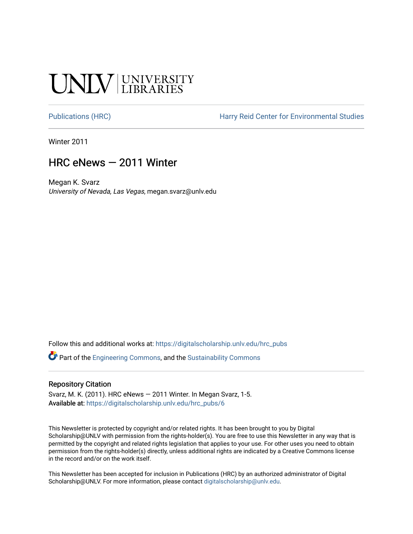## **CINITY UNIVERSITY**

[Publications \(HRC\)](https://digitalscholarship.unlv.edu/hrc_pubs) The Harry Reid Center for Environmental Studies

Winter 2011

### HRC eNews — 2011 Winter

Megan K. Svarz University of Nevada, Las Vegas, megan.svarz@unlv.edu

Follow this and additional works at: [https://digitalscholarship.unlv.edu/hrc\\_pubs](https://digitalscholarship.unlv.edu/hrc_pubs?utm_source=digitalscholarship.unlv.edu%2Fhrc_pubs%2F6&utm_medium=PDF&utm_campaign=PDFCoverPages)

Part of the [Engineering Commons](http://network.bepress.com/hgg/discipline/217?utm_source=digitalscholarship.unlv.edu%2Fhrc_pubs%2F6&utm_medium=PDF&utm_campaign=PDFCoverPages), and the [Sustainability Commons](http://network.bepress.com/hgg/discipline/1031?utm_source=digitalscholarship.unlv.edu%2Fhrc_pubs%2F6&utm_medium=PDF&utm_campaign=PDFCoverPages)

#### Repository Citation

Svarz, M. K. (2011). HRC eNews — 2011 Winter. In Megan Svarz, 1-5. Available at: [https://digitalscholarship.unlv.edu/hrc\\_pubs/6](https://digitalscholarship.unlv.edu/hrc_pubs/6)

This Newsletter is protected by copyright and/or related rights. It has been brought to you by Digital Scholarship@UNLV with permission from the rights-holder(s). You are free to use this Newsletter in any way that is permitted by the copyright and related rights legislation that applies to your use. For other uses you need to obtain permission from the rights-holder(s) directly, unless additional rights are indicated by a Creative Commons license in the record and/or on the work itself.

This Newsletter has been accepted for inclusion in Publications (HRC) by an authorized administrator of Digital Scholarship@UNLV. For more information, please contact [digitalscholarship@unlv.edu.](mailto:digitalscholarship@unlv.edu)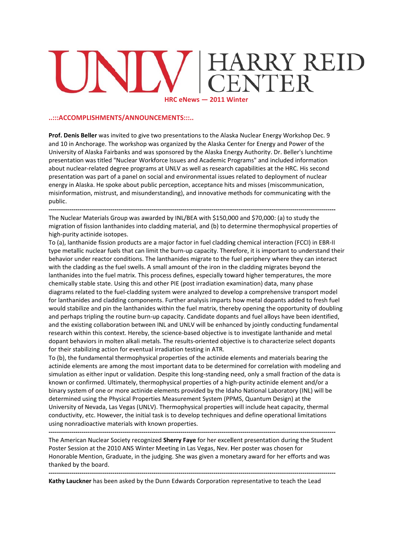# **RRY REID<br>NTER** HRC eNews - 2011 Winter

#### ..:::ACCOMPLISHMENTS/ANNOUNCEMENTS:::..

Prof. Denis Beller was invited to give two presentations to the Alaska Nuclear Energy Workshop Dec. 9 and 10 in Anchorage. The workshop was organized by the Alaska Center for Energy and Power of the University of Alaska Fairbanks and was sponsored by the Alaska Energy Authority. Dr. Beller's lunchtime presentation was titled "Nuclear Workforce Issues and Academic Programs" and included information about nuclear-related degree programs at UNLV as well as research capabilities at the HRC. His second presentation was part of a panel on social and environmental issues related to deployment of nuclear energy in Alaska. He spoke about public perception, acceptance hits and misses (miscommunication, misinformation, mistrust, and misunderstanding), and innovative methods for communicating with the public.

The Nuclear Materials Group was awarded by INL/BEA with \$150,000 and \$70,000: (a) to study the migration of fission lanthanides into cladding material, and (b) to determine thermophysical properties of high-purity actinide isotopes.

To (a), lanthanide fission products are a major factor in fuel cladding chemical interaction (FCCI) in EBR-II type metallic nuclear fuels that can limit the burn-up capacity. Therefore, it is important to understand their behavior under reactor conditions. The lanthanides migrate to the fuel periphery where they can interact with the cladding as the fuel swells. A small amount of the iron in the cladding migrates beyond the lanthanides into the fuel matrix. This process defines, especially toward higher temperatures, the more chemically stable state. Using this and other PIE (post irradiation examination) data, many phase diagrams related to the fuel-cladding system were analyzed to develop a comprehensive transport model for lanthanides and cladding components. Further analysis imparts how metal dopants added to fresh fuel would stabilize and pin the lanthanides within the fuel matrix, thereby opening the opportunity of doubling and perhaps tripling the routine burn-up capacity. Candidate dopants and fuel alloys have been identified, and the existing collaboration between INL and UNLV will be enhanced by jointly conducting fundamental research within this context. Hereby, the science-based objective is to investigate lanthanide and metal dopant behaviors in molten alkali metals. The results-oriented objective is to characterize select dopants for their stabilizing action for eventual irradiation testing in ATR.

To (b), the fundamental thermophysical properties of the actinide elements and materials bearing the actinide elements are among the most important data to be determined for correlation with modeling and simulation as either input or validation. Despite this long-standing need, only a small fraction of the data is known or confirmed. Ultimately, thermophysical properties of a high-purity actinide element and/or a binary system of one or more actinide elements provided by the Idaho National Laboratory (INL) will be determined using the Physical Properties Measurement System (PPMS, Quantum Design) at the University of Nevada, Las Vegas (UNLV). Thermophysical properties will include heat capacity, thermal conductivity, etc. However, the initial task is to develop techniques and define operational limitations using nonradioactive materials with known properties.

The American Nuclear Society recognized Sherry Faye for her excellent presentation during the Student Poster Session at the 2010 ANS Winter Meeting in Las Vegas, Nev. Her poster was chosen for Honorable Mention, Graduate, in the judging. She was given a monetary award for her efforts and was thanked by the board.

Kathy Lauckner has been asked by the Dunn Edwards Corporation representative to teach the Lead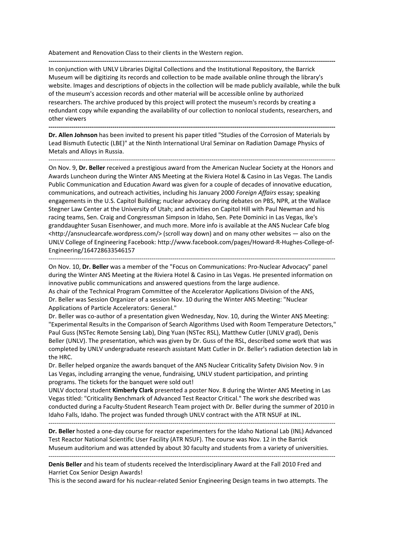Abatement and Renovation Class to their clients in the Western region. **‐‐‐‐‐‐‐‐‐‐‐‐‐‐‐‐‐‐‐‐‐‐‐‐‐‐‐‐‐‐‐‐‐‐‐‐‐‐‐‐‐‐‐‐‐‐‐‐‐‐‐‐‐‐‐‐‐‐‐‐‐‐‐‐‐‐‐‐‐‐‐‐‐‐‐‐‐‐‐‐‐‐‐‐‐‐‐‐‐‐‐‐‐‐‐‐‐‐‐‐‐‐‐‐‐‐‐‐‐‐‐‐‐‐‐‐‐‐‐‐‐‐‐‐‐‐‐‐‐‐‐‐‐‐‐‐‐‐‐** 

In conjunction with UNLV Libraries Digital Collections and the Institutional Repository, the Barrick Museum will be digitizing its records and collection to be made available online through the library's website. Images and descriptions of objects in the collection will be made publicly available, while the bulk of the museum's accession records and other material will be accessible online by authorized researchers. The archive produced by this project will protect the museum's records by creating a redundant copy while expanding the availability of our collection to nonlocal students, researchers, and other viewers

**‐‐‐‐‐‐‐‐‐‐‐‐‐‐‐‐‐‐‐‐‐‐‐‐‐‐‐‐‐‐‐‐‐‐‐‐‐‐‐‐‐‐‐‐‐‐‐‐‐‐‐‐‐‐‐‐‐‐‐‐‐‐‐‐‐‐‐‐‐‐‐‐‐‐‐‐‐‐‐‐‐‐‐‐‐‐‐‐‐‐‐‐‐‐‐‐‐‐‐‐‐‐‐‐‐‐‐‐‐‐‐‐‐‐‐‐‐‐‐‐‐‐‐‐‐‐‐‐‐‐‐‐‐‐‐‐‐‐‐** 

**Dr. Allen Johnson** has been invited to present his paper titled "Studies of the Corrosion of Materials by Lead Bismuth Eutectic (LBE)" at the Ninth International Ural Seminar on Radiation Damage Physics of Metals and Alloys in Russia.

‐‐‐‐‐‐‐‐‐‐‐‐‐‐‐‐‐‐‐‐‐‐‐‐‐‐‐‐‐‐‐‐‐‐‐‐‐‐‐‐‐‐‐‐‐‐‐‐‐‐‐‐‐‐‐‐‐‐‐‐‐‐‐‐‐‐‐‐‐‐‐‐‐‐‐‐‐‐‐‐‐‐‐‐‐‐‐‐‐‐‐‐‐‐‐‐‐‐‐‐‐‐‐‐‐‐‐‐‐‐‐‐‐‐‐‐‐‐‐‐‐‐‐‐‐‐‐‐‐‐‐‐‐‐‐‐‐‐‐

On Nov. 9, **Dr. Beller** received a prestigious award from the American Nuclear Society at the Honors and Awards Luncheon during the Winter ANS Meeting at the Riviera Hotel & Casino in Las Vegas. The Landis Public Communication and Education Award was given for a couple of decades of innovative education, communications, and outreach activities, including his January 2000 *Foreign Affairs* essay; speaking engagements in the U.S. Capitol Building; nuclear advocacy during debates on PBS, NPR, at the Wallace Stegner Law Center at the University of Utah; and activities on Capitol Hill with Paul Newman and his racing teams, Sen. Craig and Congressman Simpson in Idaho, Sen. Pete Dominici in Las Vegas, Ike's granddaughter Susan Eisenhower, and much more. More info is available at the ANS Nuclear Cafe blog <http://ansnuclearcafe.wordpress.com/> (scroll way down) and on many other websites — also on the UNLV College of Engineering Facebook: http://www.facebook.com/pages/Howard‐R‐Hughes‐College‐of‐ Engineering/164728633546157

‐‐‐‐‐‐‐‐‐‐‐‐‐‐‐‐‐‐‐‐‐‐‐‐‐‐‐‐‐‐‐‐‐‐‐‐‐‐‐‐‐‐‐‐‐‐‐‐‐‐‐‐‐‐‐‐‐‐‐‐‐‐‐‐‐‐‐‐‐‐‐‐‐‐‐‐‐‐‐‐‐‐‐‐‐‐‐‐‐‐‐‐‐‐‐‐‐‐‐‐‐‐‐‐‐‐‐‐‐‐‐‐‐‐‐‐‐‐‐‐‐‐‐‐‐‐‐‐‐‐‐‐‐‐‐‐‐‐‐

On Nov. 10, **Dr. Beller** was a member of the "Focus on Communications: Pro‐Nuclear Advocacy" panel during the Winter ANS Meeting at the Riviera Hotel & Casino in Las Vegas. He presented information on innovative public communications and answered questions from the large audience.

As chair of the Technical Program Committee of the Accelerator Applications Division of the ANS, Dr. Beller was Session Organizer of a session Nov. 10 during the Winter ANS Meeting: "Nuclear Applications of Particle Accelerators: General."

Dr. Beller was co-author of a presentation given Wednesday, Nov. 10, during the Winter ANS Meeting: "Experimental Results in the Comparison of Search Algorithms Used with Room Temperature Detectors," Paul Guss (NSTec Remote Sensing Lab), Ding Yuan (NSTec RSL), Matthew Cutler (UNLV grad), Denis Beller (UNLV). The presentation, which was given by Dr. Guss of the RSL, described some work that was completed by UNLV undergraduate research assistant Matt Cutler in Dr. Beller's radiation detection lab in the HRC.

Dr. Beller helped organize the awards banquet of the ANS Nuclear Criticality Safety Division Nov. 9 in Las Vegas, including arranging the venue, fundraising, UNLV student participation, and printing programs. The tickets for the banquet were sold out!

UNLV doctoral student **Kimberly Clark** presented a poster Nov. 8 during the Winter ANS Meeting in Las Vegas titled: "Criticality Benchmark of Advanced Test Reactor Critical." The work she described was conducted during a Faculty‐Student Research Team project with Dr. Beller during the summer of 2010 in Idaho Falls, Idaho. The project was funded through UNLV contract with the ATR NSUF at INL.

‐‐‐‐‐‐‐‐‐‐‐‐‐‐‐‐‐‐‐‐‐‐‐‐‐‐‐‐‐‐‐‐‐‐‐‐‐‐‐‐‐‐‐‐‐‐‐‐‐‐‐‐‐‐‐‐‐‐‐‐‐‐‐‐‐‐‐‐‐‐‐‐‐‐‐‐‐‐‐‐‐‐‐‐‐‐‐‐‐‐‐‐‐‐‐‐‐‐‐‐‐‐‐‐‐‐‐‐‐‐‐‐‐‐‐‐‐‐‐‐‐‐‐‐‐‐‐‐‐‐‐‐‐‐‐‐‐‐‐

**Dr. Beller** hosted a one‐day course for reactor experimenters for the Idaho National Lab (INL) Advanced Test Reactor National Scientific User Facility (ATR NSUF). The course was Nov. 12 in the Barrick Museum auditorium and was attended by about 30 faculty and students from a variety of universities.

‐‐‐‐‐‐‐‐‐‐‐‐‐‐‐‐‐‐‐‐‐‐‐‐‐‐‐‐‐‐‐‐‐‐‐‐‐‐‐‐‐‐‐‐‐‐‐‐‐‐‐‐‐‐‐‐‐‐‐‐‐‐‐‐‐‐‐‐‐‐‐‐‐‐‐‐‐‐‐‐‐‐‐‐‐‐‐‐‐‐‐‐‐‐‐‐‐‐‐‐‐‐‐‐‐‐‐‐‐‐‐‐‐‐‐‐‐‐‐‐‐‐‐‐‐‐‐‐‐‐‐‐‐‐‐‐‐‐‐

**Denis Beller** and his team of students received the Interdisciplinary Award at the Fall 2010 Fred and Harriet Cox Senior Design Awards!

This is the second award for his nuclear‐related Senior Engineering Design teams in two attempts. The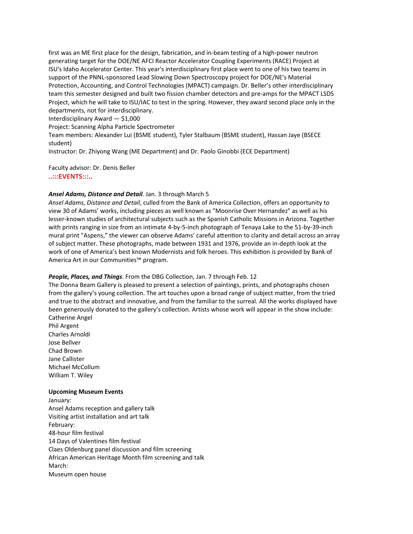first was an ME first place for the design, fabrication, and in‐beam testing of a high‐power neutron generating target for the DOE/NE AFCI Reactor Accelerator Coupling Experiments (RACE) Project at ISU's Idaho Accelerator Center. This year's interdisciplinary first place went to one of his two teams in support of the PNNL-sponsored Lead Slowing Down Spectroscopy project for DOE/NE's Material Protection, Accounting, and Control Technologies (MPACT) campaign. Dr. Beller's other interdisciplinary team this semester designed and built two fission chamber detectors and pre-amps for the MPACT LSDS Project, which he will take to ISU/IAC to test in the spring. However, they award second place only in the departments, not for interdisciplinary.

Interdisciplinary Award — \$1,000

Project: Scanning Alpha Particle Spectrometer

Team members: Alexander Lui (BSME student), Tyler Stalbaum (BSME student), Hassan Jaye (BSECE student)

Instructor: Dr. Zhiyong Wang (ME Department) and Dr. Paolo Ginobbi (ECE Department)

Faculty advisor: Dr. Denis Beller

**..:::EVENTS:::..**

#### *Ansel Adams, Distance and Detail*. Jan. 3 through March 5

*Ansel Adams, Distance and Detail*, culled from the Bank of America Collection, offers an opportunity to view 30 of Adams' works, including pieces as well known as "Moonrise Over Hernandez" as well as his lesser‐known studies of architectural subjects such as the Spanish Catholic Missions in Arizona. Together with prints ranging in size from an intimate 4‐by‐5‐inch photograph of Tenaya Lake to the 51‐by‐39‐inch mural print "Aspens," the viewer can observe Adams' careful attention to clarity and detail across an array of subject matter. These photographs, made between 1931 and 1976, provide an in‐depth look at the work of one of America's best known Modernists and folk heroes. This exhibition is provided by Bank of America Art in our Communities™ program.

#### *People, Places, and Things*. From the DBG Collection, Jan. 7 through Feb. 12

The Donna Beam Gallery is pleased to present a selection of paintings, prints, and photographs chosen from the gallery's young collection. The art touches upon a broad range of subject matter, from the tried and true to the abstract and innovative, and from the familiar to the surreal. All the works displayed have been generously donated to the gallery's collection. Artists whose work will appear in the show include: Catherine Angel

Phil Argent Charles Arnoldi Jose Bellver Chad Brown Jane Callister Michael McCollum William T. Wiley

#### **Upcoming Museum Events**

January: Ansel Adams reception and gallery talk Visiting artist installation and art talk February: 48‐hour film festival 14 Days of Valentines film festival Claes Oldenburg panel discussion and film screening African American Heritage Month film screening and talk March: Museum open house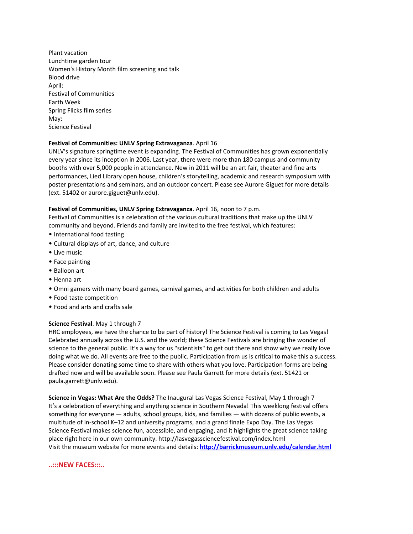Plant vacation Lunchtime garden tour Women's History Month film screening and talk Blood drive April: Festival of Communities Earth Week Spring Flicks film series May: Science Festival

#### **Festival of Communities: UNLV Spring Extravaganza**. April 16

UNLV's signature springtime event is expanding. The Festival of Communities has grown exponentially every year since its inception in 2006. Last year, there were more than 180 campus and community booths with over 5,000 people in attendance. New in 2011 will be an art fair, theater and fine arts performances, Lied Library open house, children's storytelling, academic and research symposium with poster presentations and seminars, and an outdoor concert. Please see Aurore Giguet for more details (ext. 51402 or aurore.giguet@unlv.edu).

#### **Festival of Communities, UNLV Spring Extravaganza**. April 16, noon to 7 p.m.

Festival of Communities is a celebration of the various cultural traditions that make up the UNLV community and beyond. Friends and family are invited to the free festival, which features:

- International food tasting
- Cultural displays of art, dance, and culture
- Live music
- Face painting
- Balloon art
- Henna art
- Omni gamers with many board games, carnival games, and activities for both children and adults
- Food taste competition
- Food and arts and crafts sale

#### **Science Festival**. May 1 through 7

HRC employees, we have the chance to be part of history! The Science Festival is coming to Las Vegas! Celebrated annually across the U.S. and the world; these Science Festivals are bringing the wonder of science to the general public. It's a way for us "scientists" to get out there and show why we really love doing what we do. All events are free to the public. Participation from us is critical to make this a success. Please consider donating some time to share with others what you love. Participation forms are being drafted now and will be available soon. Please see Paula Garrett for more details (ext. 51421 or paula.garrett@unlv.edu).

**Science in Vegas: What Are the Odds?** The Inaugural Las Vegas Science Festival, May 1 through 7 It's a celebration of everything and anything science in Southern Nevada! This weeklong festival offers something for everyone — adults, school groups, kids, and families — with dozens of public events, a multitude of in‐school K–12 and university programs, and a grand finale Expo Day. The Las Vegas Science Festival makes science fun, accessible, and engaging, and it highlights the great science taking place right here in our own community. http://lasvegassciencefestival.com/index.html Visit the museum website for more events and details: **http://barrickmuseum.unlv.edu/calendar.html**

#### **..:::NEW FACES:::..**